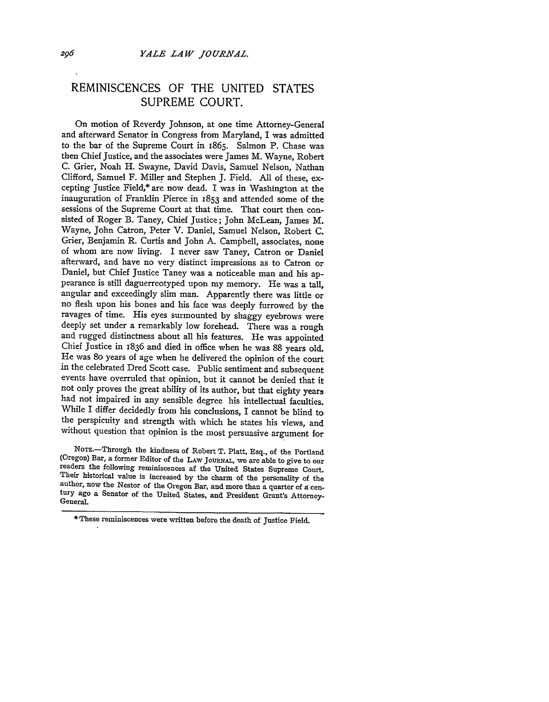## **REMINISCENCES** OF THE **UNITED STATES SUPREME COURT.**

On motion of Reverdy Johnson, at one time Attorney-General and afterward Senator in Congress from Maryland, I was admitted to the bar of the Supreme Court in 1865. Salmon P. Chase was then Chief Justice, and the associates were James M. Wayne, Robert **C.** Grier, Noah H. Swayne, David Davis, Samuel Nelson, Nathan Clifford, Samuel F. Miller and Stephen J. Field. All of these, excepting Justice Field,\* are now dead. I was in Washington at the inauguration of Franklin Pierce in 1853 and attended some of the sessions of the Supreme Court at that time. That court then consisted of Roger B. Taney, Chief Justice; John McLean, James M. Wayne, John Catron, Peter V. Daniel, Samuel Nelson, Robert C. Grier, Benjamin R. Curtis and John **A.** Campbell, associates, none of whom are now living. I never saw Taney, Catron or Daniel afterward, and have no very distinct impressions as to Catron or Daniel, but Chief Justice Taney was a noticeable man and his appearance is still daguerreotyped upon my memory. He was a tall, angular and exceedingly slim man. Apparently there was little or no flesh upon his bones and his face was deeply furrowed by the ravages of time. His eyes surmounted by shaggy eyebrows were deeply set under a remarkably low forehead. There was a rough and rugged distinctness about all his features. He was appointed Chief Justice in 1836 and died in office when he was 88 years old. He was 8o years of age when he delivered the opinion of the court in the celebrated Dred Scott case. Public sentiment and subsequent events have overruled that opinion, but it cannot be denied that it not only proves the great ability of its author, but that eighty years had not impaired in any sensible degree his intellectual faculties. While I differ decidedly from his conclusions, I cannot be blind to the perspicuity and strength with which he states his views, and without question that opinion is the most persuasive argument for

NoTE.-Through the kindness of Robert T. Platt, Esq., of the Portland (Oregon) Bar, a former Editor of the LAw **JOURNAL, we** are able to give to our readers the following reminiscences af the United States Supreme Court. Their historical value is increased **by** the charm of the personality of the author, now the Nestor of the Oregon Bar, and more than a quarter of a cen- tury ago a Senator of the United States, and President Grant's Attorney-General.

296

<sup>\*</sup>These reminiscences were written before the death of Justice Field.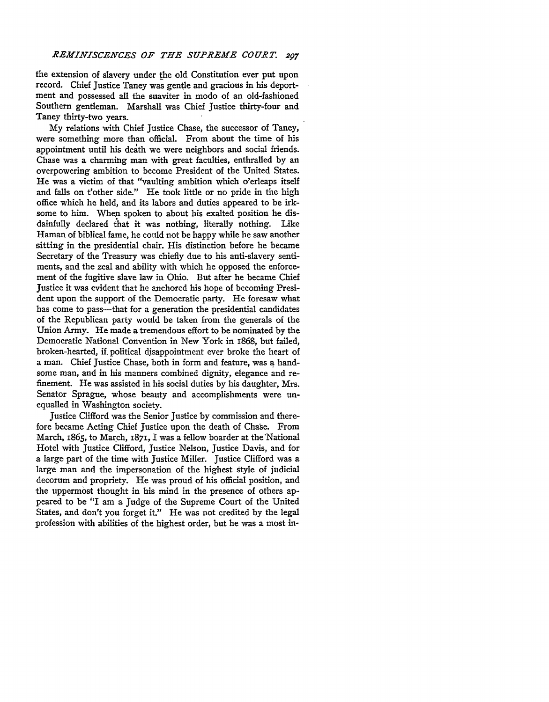the extension of slavery under the old Constitution ever put upon record. Chief Justice Taney was gentle and gracious in his deportment and possessed all the suaviter in modo of an old-fashioned Southern gentleman. Marshall was Chief Justice thirty-four and Taney thirty-two years.

My relations with Chief Justice Chase, the successor of Taney, were something more than official. From about the time of his appointment until his death we were neighbors and social friends. Chase was a charming man with great faculties, enthralled by an overpowering ambition to become President of the United States. He was a victim of that "vaulting ambition which o'erleaps itself and falls on t'other side." He took little or no pride in the high office which he held, and its labors and duties appeared to be irksome to him. When spoken to about his exalted position he disdainfully declared that it was nothing, literally nothing. Like Haman of biblical fame, he could not be happy while he saw another sitting in the presidential chair. His distinction before he became Secretary of the Treasury was chiefly due to his anti-slavery sentiments, and the zeal and ability with which he opposed the enforcement of the fugitive slave law in Ohio. But after he became Chief Justice it was evident that he anchored his hope of becoming President upon the support of the Democratic party. He foresaw what has come to pass—that for a generation the presidential candidates of the Republican party would be taken from the generals of the Union Army. He made a tremendous effort to be nominated by the Democratic National Convention in New York in 1868, but failed, broken-hearted, if. political disappointment ever broke the heart of a man. Chief Justice Chase, both in form and feature, was a handsome man, and in his manners combined dignity, elegance and refinement. He was assisted in his social duties by his daughter, Mrs. Senator Sprague, whose beauty and accomplishments were unequalled in Washington society.

Justice Clifford was the Senior Justice by commission and therefore became Acting Chief Justice upon the death of Chase. From March, 1865, to March, 1871, **1** was a fellow boarder at the'National Hotel with Justice Clifford, Justice Nelson, Justice Davis, and for a large part of the time with Justice Miller. Justice Clifford was a large man and the impersonation of the highest style of judicial decorum and propriety. He was proud of his official position, and the uppermost thought in his mind in the presence of others appeared to be "I am a Judge of the Supreme Court of the United States, and don't you forget it." He was not credited by the legal profession with abilities of the highest order, but he was a most in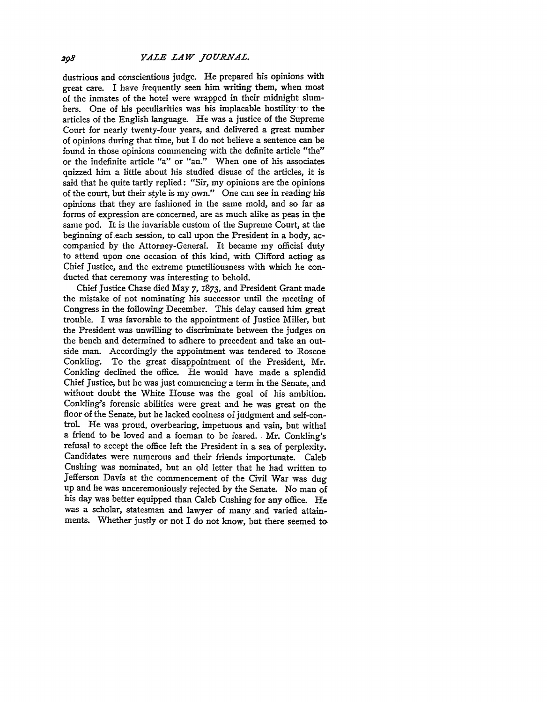dustrious and conscientious judge. He prepared his opinions with great care. I have frequently seen him writing them, when most of the inmates of the hotel were wrapped in their midnight slumbers. One of his peculiarities was his implacable hostility-to the articles of the English language. He was a justice of the Supreme Court for nearly twenty-four years, and delivered a great number of opinions during that time, but I do not believe a sentence can be found in those opinions commencing with the definite article **"the"** or the indefinite article "a" or "an." When one of his associates quizzed him a little about his studied disuse of the articles, it is said that he quite tartly replied: "Sir, my opinions are the opinions of the court, but their style is my own." One can see in reading his opinions that they are fashioned in the same mold, and so far as forms of expression are concerned, are as much alike as peas in the same pod. It is the invariable custom of the Supreme Court, at the beginning of each session, to call upon the President in a body, accompanied **by** the Attorney-General. It became my official duty to attend upon one occasion of this kind, with Clifford acting as Chief justice, and the extreme punctiliousness with which he conducted that ceremony was interesting to behold.

Chief Justice Chase died May **7,** 1873, and President Grant made the mistake of not nominating his successor until the meeting of Congress in the following December. This delay caused him great trouble. I was favorable to the appointment of Justice Miller, but the President was unwilling to discriminate between the judges on the bench and determined to adhere to precedent and take an outside man. Accordingly the appointment was tendered to Roscoe Conkling. To the great disappointment of the President, Mr. Conkling declined the office. He would have made a splendid Chief Justice, but he was just commencing a term in the Senate, and without doubt the White House was the goal of his ambition. Conkling's forensic abilities were great and he was great on the floor of the Senate, but he lacked coolness of judgment and self-control. He was proud, overbearing, impetuous and vain, but withal a friend to be loved and a foeman to be feared. Mr. Conkling's refusal to accept the office left the President in a sea of perplexity. Candidates were numerous and their friends importunate. Caleb Cushing was nominated, but an old letter that he had written to Jefferson Davis at the commencement of the Civil War was dug up and he was unceremoniously rejected **by** the Senate. No man of his day was better equipped than Caleb Cushing for any office. He was a scholar, statesman and lawyer of many and varied attainments. Whether justly or not I do not know, but there seemed **to**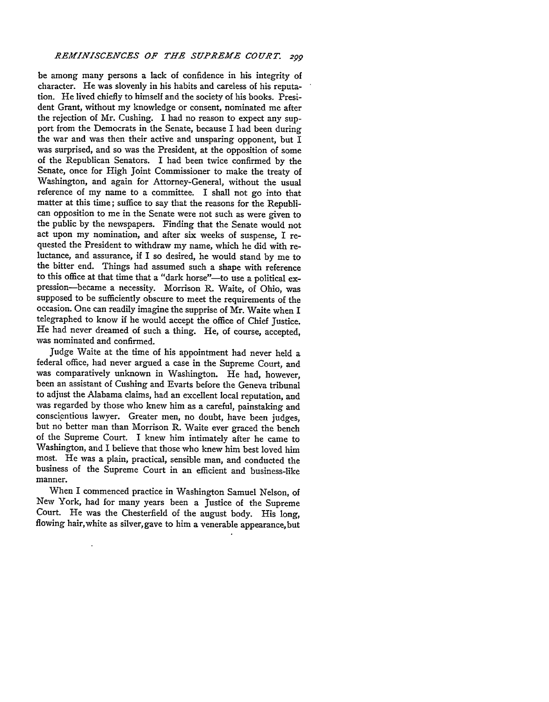## *REMINISCENCES OF THE SUPREME COURT.* <sup>299</sup>

be among many persons a lack of confidence in his integrity of character. He was slovenly in his habits and careless of his reputation. He lived chiefly to himself and the society of his books. President Grant, without my knowledge or consent, nominated me after the rejection of Mr. Cushing. I had no reason to expect any support from the Democrats in the Senate, because I had been during the war and was then their active and unsparing opponent, but I was surprised, and so was the President, at the opposition of some of the Republican Senators. I had been twice confirmed **by** the Senate, once for High Joint Commissioner to make the treaty of Washington, and again for Attorney-General, without the usual reference of my name to a committee. I shall not go into that matter at this time; suffice to say that the reasons for the Republican opposition to me in the Senate were not such as were given to the public **by** the newspapers. Finding that the Senate would not act upon my nomination, and after six weeks of suspense, I requested the President to withdraw my name, which he did with reluctance, and assurance, if I so desired, he would stand **by** me to the bitter end. Things had assumed such a shape with reference to this office at that time that a "dark horse"-- to use a political expression-became a necessity. Morrison R. Waite, of Ohio, was supposed to be sufficiently obscure to meet the requirements of the occasion. One can readily imagine the supprise of Mr. Waite when I telegraphed to know if he would accept the office of Chief Justice. He had never dreamed of such a thing. He, of course, accepted, was nominated and confirmed.

Judge Waite at the time of his appointment had never held a federal office, had never argued a case in the Supreme Court, and was comparatively unknown in Washington. He had, however, been an assistant of Cushing and Evarts before the Geneva tribunal to adjust the Alabama claims, had an excellent local reputation, and was regarded **by** those who knew him as a careful, painstaking and conscientious lawyer. Greater men, no doubt, have been judges, but no better man than Morrison R. Waite ever graced the bench of the Supreme Court. I knew him intimately after he came to Washington, and I believe that those who knew him best loved him most. He was a plain, practical, sensible man, and conducted the business of the Supreme Court in an efficient and business-like manner.

When I commenced practice in Washington Samuel Nelson, of New York, had for many years been a Justice of the Supreme Court. He was the Chesterfield of the august body. His long, flowing hair, white as silver, gave to him a venerable appearance, but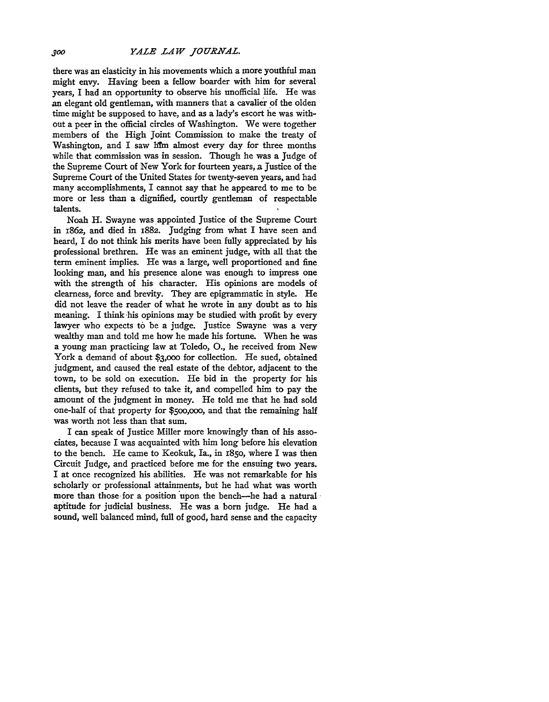there was an elasticity in his movements which a more youthful man might envy. Having been a fellow boarder with him for several years, I had an opportunity to observe his unofficial life. He was an elegant old gentleman, with manners that a cavalier of the olden time might be supposed to have, and as a lady's escort he was without a peer in the official circles of Washington. We were together members of the High Joint Commission to make the treaty of Washington, and I saw him almost every day for three months while that commission was in session. Though he was a Judge of the Supreme Court of New York for fourteen years, a Justice of the Supreme Court of the United States for twenty-seven years, and had many accomplishments, I cannot say that he appeared to me to be more or less than a dignified, courtly gentleman of respectable talents.

Noah H. Swayne was appointed Justice of the Supreme Court in 1862, and died in **1882.** Judging from what I have seen and heard, I do not think his merits have been **fully** appreciated **by** his professional brethren. He was an eminent judge, with all that the term eminent implies. He was a large, well proportioned and fine looking man, and his presence alone was enough to impress one with the strength of his character. His opinions are models of clearness, force and brevity. They are epigrammatic in style. He did not leave the reader of what he wrote in any doubt as to his meaning. I think his opinions may be studied with profit **by** every lawyer who expects to be a judge. Justice Swayne was **a** very wealthy man and told me how he made his fortune. When he was a young man practicing law at Toledo, **0.,** he received from New York a demand of about \$3,ooo for collection. He sued, obtained judgment, and caused the real estate of the debtor, adjacent to the town, to be sold on execution. He bid in the property for his clients, but they refused to take it, and compelled him to pay the amount of the judgment in money. He told me that he had sold one-half of that property for *\$5oo,ooo,* and that the remaining half was worth not less than that sum.

I can speak of Justice Miller more knowingly than of his associates, because I was acquainted with him long before his elevation to the bench. He came to Keokuk, Ia., in **i85o,** where I was then Circuit Judge, and practiced before me for the ensuing two years. I at once recognized his abilities. He was not remarkable for his scholarly or professional attainments, but he had what was worth more than those for a position upon the bench--he had a natural aptitude for judicial business. He was a born judge. He had a sound, well balanced mind, full of good, hard sense and the capacity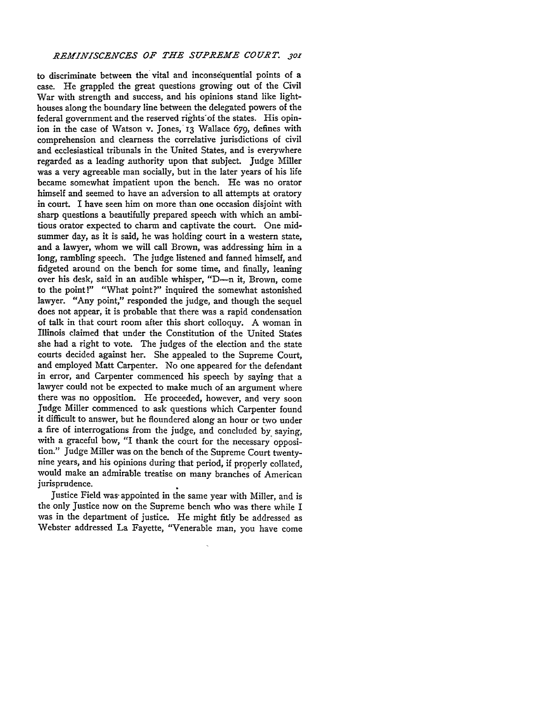## *REMINISCENCES OF THE SUPREME COURT. 301*

to discriminate between the vital and inconsequential points of a case. He grappled the great questions growing out of the Civil War with strength and success, and his opinions stand like lighthouses along the boundary line between the delegated powers of the federal government and the reserved rights of the states. His opinion in the case of Watson v. Jones, 13 Wallace 679, defines with comprehension and clearness the correlative jurisdictions of civil and ecclesiastical tribunals in the United States, and is everywhere regarded as a leading authority upon that subject. Judge Miller was a very agreeable man socially, but in the later years of his life became somewhat impatient upon the bench. He was no orator himself and seemed to have an adversion to all attempts at oratory in court. I have seen him on more than one occasion disjoint with sharp questions a beautifully prepared speech with which an ambitious orator expected to charm and captivate the court. One midsummer day, as it is said, he was holding court in a western state, and a lawyer, whom we will call Brown, was addressing him in a long, rambling speech. The judge listened and fanned himself, and fidgeted around on the bench for some time, and finally, leaning over his desk, said in an audible whisper, "D-n it, Brown, come to the point **!"** "What point?" inquired the somewhat astonished lawyer. "Any point," responded the judge, and though the sequel does not appear, it is probable that there was a rapid condensation of talk in that court room after this short colloquy. A woman in Illinois claimed that under the Constitution of the United States she had a right to vote. The judges of the election and the state courts decided against her. She appealed to the Supreme Court, and employed Matt Carpenter. No one appeared for the defendant in error, and Carpenter commenced his speech by saying that a lawyer could not be expected to make much of an argument where there was no opposition. He proceeded, however, and very soon Judge Miller commenced to ask questions which Carpenter found it difficult to answer, but he floundered along an hour or two under a fire of interrogations from the judge, and concluded **by.** saying, with a graceful bow, "I thank the court for the necessary opposition." Judge Miller was on the bench of the Supreme Court twentynine years, and his opinions during that period, if properly collated, would make an admirable treatise on many branches of American jurisprudence.

Justice Field was- appointed in the same year with Miller, and is the only Justice now on the Supreme bench who was there while I was in the department of justice. He might fitly be addressed as Webster addressed La Fayette, "Venerable man, you have come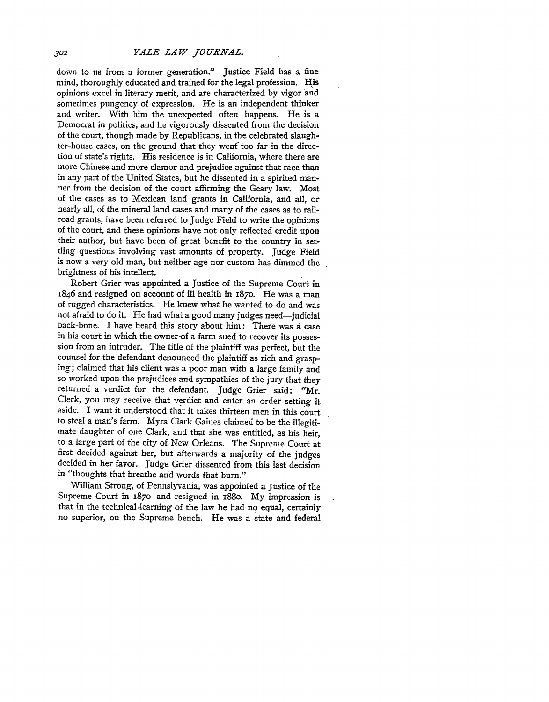down to us from a former generation." Justice Field has a fine mind, thoroughly educated and trained for the legal profession. His opinions excel in literary merit, and are characterized by vigor and sometimes pungency of expression. He is an independent thinker and writer. With him the unexpected often happens. He is a Democrat in politics, and he vigorously dissented from the decision of the court, though made by Republicans, in the celebrated slaughter-house cases, on the ground that they wenf too far in the direction of state's rights. His residence is in California, where there are more Chinese and more clamor and prejudice against that race than in any part of the United States, but he dissented in a spirited manner from the decision of the court affirming the Geary law. Most of the cases as to Mexican land grants in California, and all, or nearly all, of the mineral land cases and many of the cases as to railroad grants, have been referred to Judge Field to write the opinions of the court, and these opinions have not only reflected credit upon their author, but have been of great benefit to the country in settling questions involving vast amounts of property. Judge Field is now a very old man, but neither age nor custom has dimmed the brightness of his intellect.

Robert Grier was appointed a Justice of the Supreme Court in 1846 and resigned on account of ill health in 187o. He was a man of rugged characteristics. He knew what he wanted to do and was not afraid to do it. He had what a good many judges need-judicial back-bone. I have heard this story about him: There was a case in his court in which the owner of a farm sued to recover its possession from an intruder. The title of the plaintiff was perfect, but the counsel for the defendant denounced the plaintiff as rich and grasping; claimed that his client was a poor man with a large family and so worked upon the prejudices and sympathies of the jury that they returned a verdict for the defendant. Judge Grier said: "Mr. Clerk, you may receive that verdict and enter an order setting it aside. I want it understood that it takes thirteen men in this court to steal a man's farm. Myra Clark Gaines claimed to be the illegitimate daughter of one Clark, and that she was entitled, as his heir, to a large part of the city of New Orleans. The Supreme Court at first decided against her, but afterwards a majority of the judges decided in her favor. Judge Grier dissented from this last decision in "thoughts that breathe and words that burn."

William Strong, of Pennslyvania, was appointed a Justice of the Supreme Court in 187o and resigned in i88o. My impression is that in the technical learning of the law he had no equal, certainly no superior, on the Supreme bench. He was a state and federal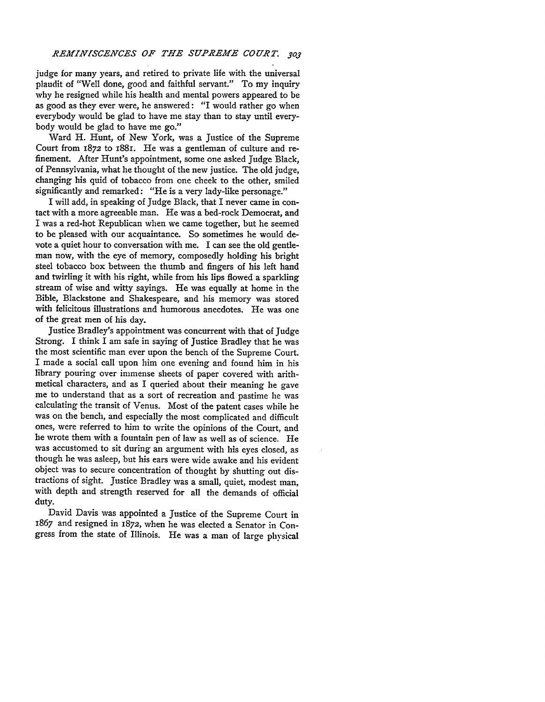judge for many years, and retired to private life with the universal plaudit of "Well done, good and faithful servant." To my inquiry why he resigned while his health and mental powers appeared to be as good as they ever were, he answered: "I would rather go when everybody would be glad to have me stay than to stay until everybody would be glad to have me go."

Ward H. Hunt, of New York, was a justice of the Supreme Court from 1872 to i88i. He was a gentleman of culture and refinement. After Hunt's appointment, some one asked Judge Black, of Pennsylvania, what he thought of the new justice. The old judge, changing his quid of tobacco from one cheek to the other, smiled significantly and remarked: "He is a very lady-like personage."

I will add, in speaking of Judge Black, that I never came in contact with a more agreeable man. He was a bed-rock Democrat, and I was a red-hot Republican when we came together, but he seemed to be pleased with our acquaintance. So sometimes he would devote a quiet hour to conversation with me. I can see the old gentleman now, with the eye of memory, composedly holding his bright steel tobacco box between the thumb and fingers of his left hand and twirling it with his right, while from his lips flowed a sparkling stream of wise and witty sayings. He was equally at home in the Bible, Blackstone and Shakespeare, and his memory was stored with felicitous illustrations and humorous anecdotes. He was one of the great men of his day.

Justice Bradley's appointment was concurrent with that of Judge Strong. I think I am safe in saying of Justice Bradley that he was the most scientific man ever upon the bench of the Supreme Court. I made a social call upon him one evening and found him in his library pouring over immense sheets of paper covered with arithmetical characters, and as I queried about their meaning he gave me to understand that as a sort of recreation and pastime he was calculating the transit of Venus. Most of the patent cases while he was on the bench, and especially the most complicated and difficult ones, were referred to him to write the opinions of the Court, and he wrote them with a fountain pen of law as well as of science. He was accustomed to sit during an argument with his eyes closed, as though he was asleep, but his ears were wide awake and his evident object was to secure concentration of thought by shutting out distractions of sight. Justice Bradley was a small, quiet, modest man, with depth and strength reserved for all the demands of official duty.

David Davis was appointed a Justice of the Supreme Court in i867 and resigned in 1872, when he was elected a Senator in Congress from the state of Illinois. He was a man of large physical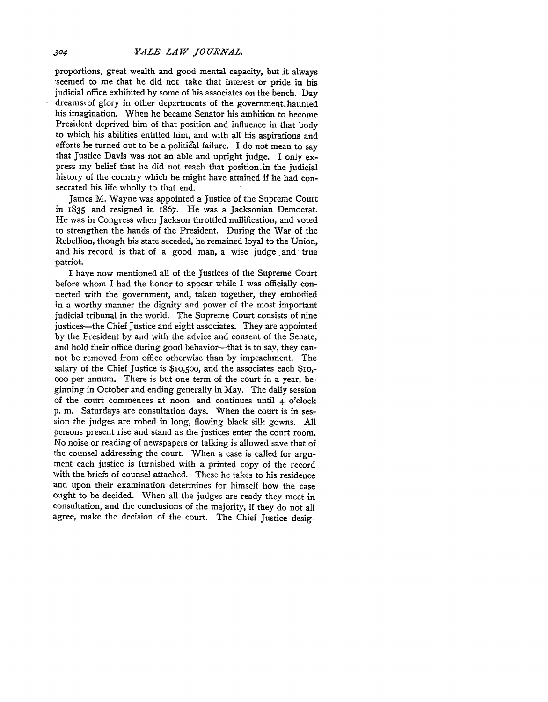proportions, great wealth and good mental capacity, but it always 'seemed to me that he did not take that interest or pride in his judicial office exhibited by some of his associates on the bench. Day dreams~of glory in other departments of the government.haunted his imagination. When he became Senator his ambition to become President deprived him of that position and influence in that body to which his abilities entitled him, and with all his aspirations and efforts he turned out to be a political failure. I do not mean to say that Justice Davis was not an able and upright judge. I only express my belief that he did not reach that position.in the judicial history of the country which he might have attained if he had consecrated his life wholly to that end.

James M. Wayne was appointed a Justice of the Supreme Court in 1835. and resigned in 1867. He was a Jacksonian Democrat. He was in Congress when Jackson throttled nullification, and voted to strengthen the hands of the President. During the War of the Rebellion, though his state seceded, he remained loyal to the Union, and his record is that of a good man, a wise judge and true patriot.

I have now mentioned all of the Justices of the Supreme Court before whom I had the honor to appear while I was officially connected with the government, and, taken together, they embodied in a worthy manner the dignity and power of the most important judicial tribunal in the world. The Supreme Court consists of nine justices—the Chief Justice and eight associates. They are appointed by the President by and with the advice and consent of the Senate, and hold their office during good behavior-that is to say, they cannot be removed from office otherwise than by impeachment. The salary of the Chief Justice is \$10,500, and the associates each \$10,ooo per annum. There is but one term of the court in a year, beginning in October and ending generally in May. The daily session of the court commences at noon and continues until 4 o'clock p. m. Saturdays are consultation days. When the court is in session the judges are robed in long, flowing black silk gowns. All persons present rise and stand as the justices enter the court room. No noise or reading of newspapers or talking is allowed save that of the counsel addressing the court. When a case is called for argument each justice is furnished with a printed copy of the record with the briefs of counsel attached. These he takes to his residence and upon their examination determines for himself how the case ought to be decided. When all the judges are ready they meet in consultation, and the conclusions of the majority, if they do not all agree, make the decision of the court. The Chief Justice desig-